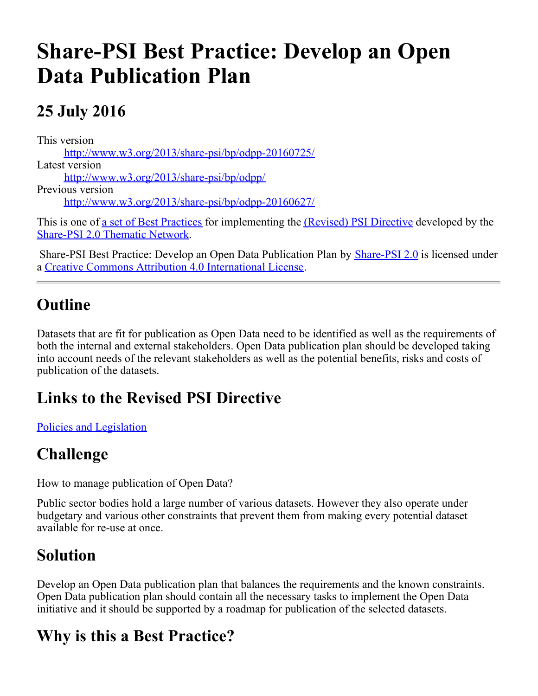# **Share-PSI Best Practice: Develop an Open Data Publication Plan**

# **25 July 2016**

This version [http://www.w3.org/2013/share-psi/bp/odpp-20160725/](https://www.w3.org/2013/share-psi/bp/odpp-20160725/) Latest version [http://www.w3.org/2013/share-psi/bp/odpp/](https://www.w3.org/2013/share-psi/bp/odpp/) Previous version [http://www.w3.org/2013/share-psi/bp/odpp-20160627/](https://www.w3.org/2013/share-psi/bp/odpp-20160627/)

This is one of <u>a set of Best Practices</u> for implementing the *(Revised)* PSI Directive developed by the [Share-PSI 2.0 Thematic Network](http://www.w3.org/2013/share-psi/).

Share-PSI Best Practice: Develop an Open Data Publication Plan by **[Share-PSI 2.0](http://www.w3.org/2013/share-psi/)** is licensed under a [Creative Commons Attribution 4.0 International License](http://creativecommons.org/licenses/by/4.0/).

## **Outline**

Datasets that are fit for publication as Open Data need to be identified as well as the requirements of both the internal and external stakeholders. Open Data publication plan should be developed taking into account needs of the relevant stakeholders as well as the potential benefits, risks and costs of publication of the datasets.

## **Links to the Revised PSI Directive**

[Policies and Legislation](https://www.w3.org/2013/share-psi/bp/policy/)

## **Challenge**

How to manage publication of Open Data?

Public sector bodies hold a large number of various datasets. However they also operate under budgetary and various other constraints that prevent them from making every potential dataset available for re-use at once.

## **Solution**

Develop an Open Data publication plan that balances the requirements and the known constraints. Open Data publication plan should contain all the necessary tasks to implement the Open Data initiative and it should be supported by a roadmap for publication of the selected datasets.

# **Why is this a Best Practice?**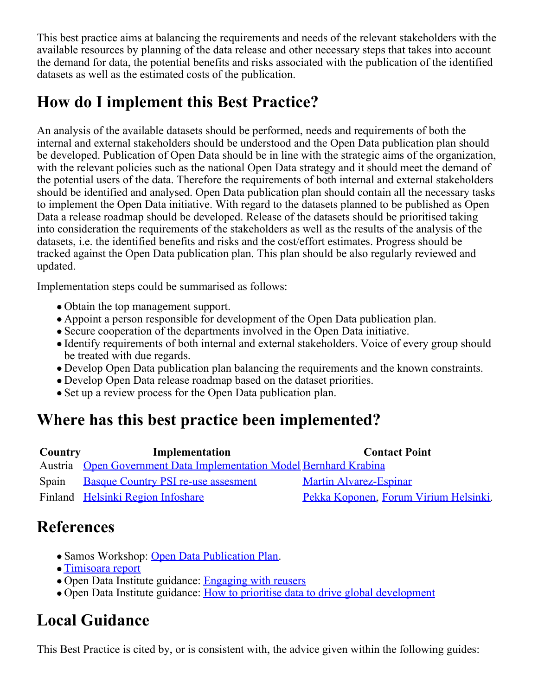This best practice aims at balancing the requirements and needs of the relevant stakeholders with the available resources by planning of the data release and other necessary steps that takes into account the demand for data, the potential benefits and risks associated with the publication of the identified datasets as well as the estimated costs of the publication.

## **How do I implement this Best Practice?**

An analysis of the available datasets should be performed, needs and requirements of both the internal and external stakeholders should be understood and the Open Data publication plan should be developed. Publication of Open Data should be in line with the strategic aims of the organization, with the relevant policies such as the national Open Data strategy and it should meet the demand of the potential users of the data. Therefore the requirements of both internal and external stakeholders should be identified and analysed. Open Data publication plan should contain all the necessary tasks to implement the Open Data initiative. With regard to the datasets planned to be published as Open Data a release roadmap should be developed. Release of the datasets should be prioritised taking into consideration the requirements of the stakeholders as well as the results of the analysis of the datasets, i.e. the identified benefits and risks and the cost/effort estimates. Progress should be tracked against the Open Data publication plan. This plan should be also regularly reviewed and updated.

Implementation steps could be summarised as follows:

- Obtain the top management support.
- Appoint a person responsible for development of the Open Data publication plan.
- Secure cooperation of the departments involved in the Open Data initiative.
- Identify requirements of both internal and external stakeholders. Voice of every group should be treated with due regards.
- Develop Open Data publication plan balancing the requirements and the known constraints.
- Develop Open Data release roadmap based on the dataset priorities.
- Set up a review process for the Open Data publication plan.

#### **Where has this best practice been implemented?**

| Implementation | <b>Contact Point</b>                                                                                                                                             |
|----------------|------------------------------------------------------------------------------------------------------------------------------------------------------------------|
|                |                                                                                                                                                                  |
|                | Martin Alvarez-Espinar                                                                                                                                           |
|                | Pekka Koponen, Forum Virium Helsinki.                                                                                                                            |
|                | Country<br>Austria Open Government Data Implementation Model Bernhard Krabina<br><b>Basque Country PSI re-use assesment</b><br>Finland Helsinki Region Infoshare |

#### **References**

- Samos Workshop: [Open Data Publication Plan](https://www.w3.org/2013/share-psi/wiki/images/a/a0/TheFlemishInnovationProjects.pdf).
- [Timisoara report](https://www.w3.org/2013/share-psi/workshop/Timisoara/report)
- Open Data Institute guidance: [Engaging with reusers](http://theodi.org/guides/engaging-reusers)
- Open Data Institute guidance: [How to prioritise data to drive global development](http://theodi.org/guides/prioritise-open-data-to-drive-global-development)

#### **Local Guidance**

This Best Practice is cited by, or is consistent with, the advice given within the following guides: